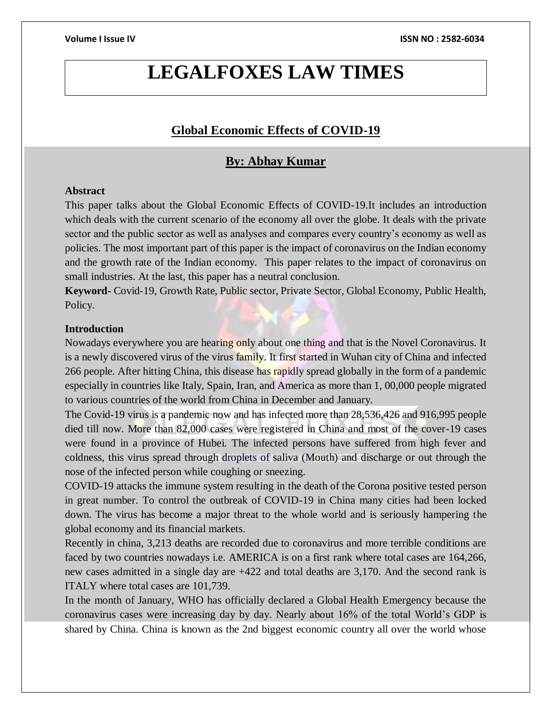# **LEGALFOXES LAW TIMES**

### **Global Economic Effects of COVID-19**

## **By: Abhay Kumar**

#### **Abstract**

This paper talks about the Global Economic Effects of COVID-19.It includes an introduction which deals with the current scenario of the economy all over the globe. It deals with the private sector and the public sector as well as analyses and compares every country's economy as well as policies. The most important part of this paper is the impact of coronavirus on the Indian economy and the growth rate of the Indian economy. This paper relates to the impact of coronavirus on small industries. At the last, this paper has a neutral conclusion.

**Keyword-** Covid-19, Growth Rate, Public sector, Private Sector, Global Economy, Public Health, Policy.

#### **Introduction**

Nowadays everywhere you are hearing only about one thing and that is the Novel Coronavirus. It is a newly discovered virus of the virus family. It first started in Wuhan city of China and infected 266 people. After hitting China, this disease has rapidly spread globally in the form of a pandemic especially in countries like Italy, Spain, Iran, and America as more than 1, 00,000 people migrated to various countries of the world from China in December and January.

The Covid-19 virus is a pandemic now and has infected more than 28,536,426 and 916,995 people died till now. More than 82,000 cases were registered in China and most of the cover-19 cases were found in a province of Hubei. The infected persons have suffered from high fever and coldness, this virus spread through droplets of saliva (Mouth) and discharge or out through the nose of the infected person while coughing or sneezing.

COVID-19 attacks the immune system resulting in the death of the Corona positive tested person in great number. To control the outbreak of COVID-19 in China many cities had been locked down. The virus has become a major threat to the whole world and is seriously hampering the global economy and its financial markets.

Recently in china, 3,213 deaths are recorded due to coronavirus and more terrible conditions are faced by two countries nowadays i.e. AMERICA is on a first rank where total cases are 164,266, new cases admitted in a single day are +422 and total deaths are 3,170. And the second rank is ITALY where total cases are 101,739.

In the month of January, WHO has officially declared a Global Health Emergency because the coronavirus cases were increasing day by day. Nearly about 16% of the total World's GDP is shared by China. China is known as the 2nd biggest economic country all over the world whose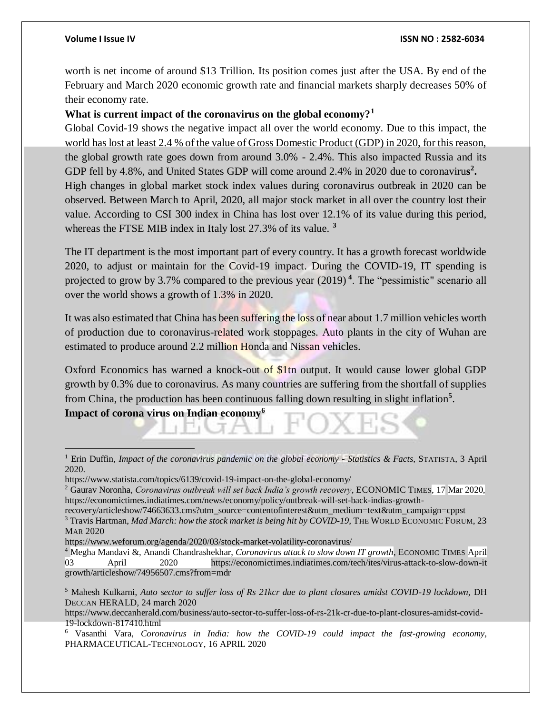worth is net income of around \$13 Trillion. Its position comes just after the USA. By end of the February and March 2020 economic growth rate and financial markets sharply decreases 50% of their economy rate.

#### **What is current impact of the coronavirus on the global economy?<sup>1</sup>**

Global Covid-19 shows the negative impact all over the world economy. Due to this impact, the world has lost at least 2.4 % of the value of Gross Domestic Product (GDP) in 2020, for this reason, the global growth rate goes down from around 3.0% - 2.4%. This also impacted Russia and its GDP fell by 4.8%, and United States GDP will come around 2.4% in 2020 due to coronavirus<sup>2</sup>. High changes in global market stock index values during coronavirus outbreak in 2020 can be observed. Between March to April, 2020, all major stock market in all over the country lost their value. According to CSI 300 index in China has lost over 12.1% of its value during this period, whereas the FTSE MIB index in Italy lost 27.3% of its value. **<sup>3</sup>**

The IT department is the most important part of every country. It has a growth forecast worldwide 2020, to adjust or maintain for the Covid-19 impact. During the COVID-19, IT spending is projected to grow by 3.7% compared to the previous year (2019) **<sup>4</sup>** . The "pessimistic" scenario all over the world shows a growth of 1.3% in 2020.

It was also estimated that China has been suffering the loss of near about 1.7 million vehicles worth of production due to coronavirus-related work stoppages. Auto plants in the city of Wuhan are estimated to produce around 2.2 million Honda and Nissan vehicles.

Oxford Economics has warned a knock-out of \$1tn output. It would cause lower global GDP growth by 0.3% due to coronavirus. As many countries are suffering from the shortfall of supplies from China, the production has been continuous falling down resulting in slight inflation**<sup>5</sup>** .

**Impact of corona virus on Indian economy<sup>6</sup>**

 $\overline{a}$ 

<sup>1</sup> Erin Duffin, *Impact of the coronavirus pandemic on the global economy - Statistics & Facts,* STATISTA, 3 April 2020.

https://www.statista.com/topics/6139/covid-19-impact-on-the-global-economy/

<sup>2</sup> Gaurav Noronha, *Coronavirus outbreak will set back India's growth recovery*, ECONOMIC TIMES, 17 Mar 2020, https://economictimes.indiatimes.com/news/economy/policy/outbreak-will-set-back-indias-growth-

recovery/articleshow/74663633.cms?utm\_source=contentofinterest&utm\_medium=text&utm\_campaign=cppst <sup>3</sup> Travis Hartman, *Mad March: how the stock market is being hit by COVID-19*, THE WORLD ECONOMIC FORUM, 23 MAR 2020

https://www.weforum.org/agenda/2020/03/stock-market-volatility-coronavirus/

<sup>&</sup>lt;sup>4</sup> Megha Mandavi &, Anandi Chandrashekhar, *Coronavirus attack to slow down IT growth*, ECONOMIC TIMES April 03 April 2020 https://economictimes.indiatimes.com/tech/ites/virus-attack-to-slow-down-it growth/articleshow/74956507.cms?from=mdr

<sup>5</sup> Mahesh Kulkarni, *Auto sector to suffer loss of Rs 21kcr due to plant closures amidst COVID-19 lockdown,* DH DECCAN HERALD, 24 march 2020

https://www.deccanherald.com/business/auto-sector-to-suffer-loss-of-rs-21k-cr-due-to-plant-closures-amidst-covid-19-lockdown-817410.html

<sup>6</sup> Vasanthi Vara, *Coronavirus in India: how the COVID-19 could impact the fast-growing economy,*  PHARMACEUTICAL-TECHNOLOGY, 16 APRIL 2020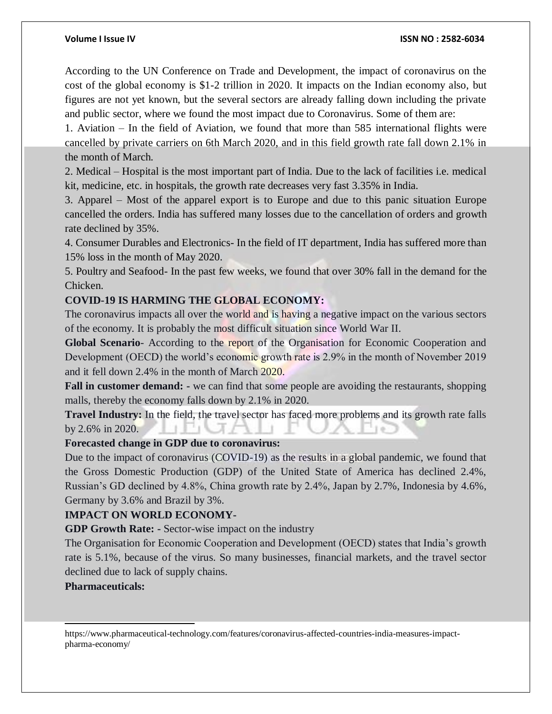According to the UN Conference on Trade and Development, the impact of coronavirus on the cost of the global economy is \$1-2 trillion in 2020. It impacts on the Indian economy also, but figures are not yet known, but the several sectors are already falling down including the private and public sector, where we found the most impact due to Coronavirus. Some of them are:

1. Aviation – In the field of Aviation, we found that more than 585 international flights were cancelled by private carriers on 6th March 2020, and in this field growth rate fall down 2.1% in the month of March.

2. Medical – Hospital is the most important part of India. Due to the lack of facilities i.e. medical kit, medicine, etc. in hospitals, the growth rate decreases very fast 3.35% in India.

3. Apparel – Most of the apparel export is to Europe and due to this panic situation Europe cancelled the orders. India has suffered many losses due to the cancellation of orders and growth rate declined by 35%.

4. Consumer Durables and Electronics- In the field of IT department, India has suffered more than 15% loss in the month of May 2020.

5. Poultry and Seafood- In the past few weeks, we found that over 30% fall in the demand for the Chicken.

### **COVID-19 IS HARMING THE GLOBAL ECONOMY:**

The coronavirus impacts all over the world and is having a negative impact on the various sectors of the economy. It is probably the most difficult situation since World War II.

**Global Scenario**- According to the report of the Organisation for Economic Cooperation and Development (OECD) the world's economic growth rate is 2.9% in the month of November 2019 and it fell down 2.4% in the month of March 2020.

**Fall in customer demand: -** we can find that some people are avoiding the restaurants, shopping malls, thereby the economy falls down by 2.1% in 2020.

**Travel Industry:** In the field, the travel sector has faced more problems and its growth rate falls by 2.6% in 2020. 7 N. Z - 1

### **Forecasted change in GDP due to coronavirus:**

Due to the impact of coronavirus (COVID-19) as the results in a global pandemic, we found that the Gross Domestic Production (GDP) of the United State of America has declined 2.4%, Russian's GD declined by 4.8%, China growth rate by 2.4%, Japan by 2.7%, Indonesia by 4.6%, Germany by 3.6% and Brazil by 3%.

### **IMPACT ON WORLD ECONOMY-**

**GDP Growth Rate: -** Sector-wise impact on the industry

The Organisation for Economic Cooperation and Development (OECD) states that India's growth rate is 5.1%, because of the virus. So many businesses, financial markets, and the travel sector declined due to lack of supply chains.

#### **Pharmaceuticals:**

l

https://www.pharmaceutical-technology.com/features/coronavirus-affected-countries-india-measures-impactpharma-economy/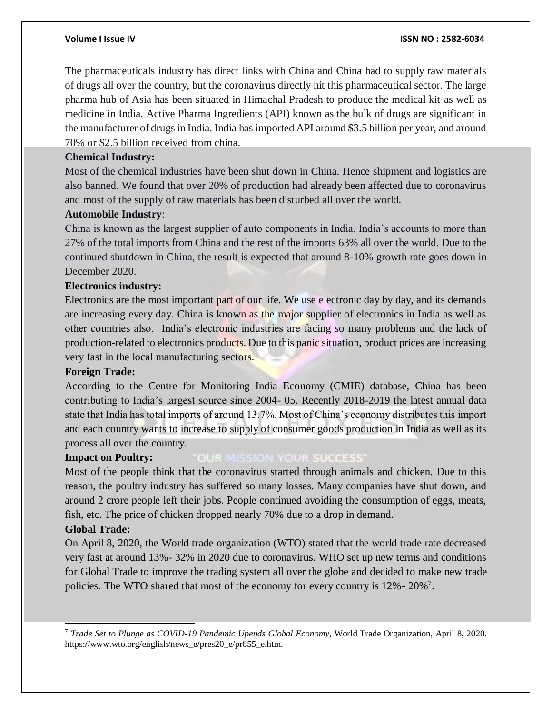The pharmaceuticals industry has direct links with China and China had to supply raw materials of drugs all over the country, but the coronavirus directly hit this pharmaceutical sector. The large pharma hub of Asia has been situated in Himachal Pradesh to produce the medical kit as well as medicine in India. Active Pharma Ingredients (API) known as the bulk of drugs are significant in the manufacturer of drugs in India. India has imported API around \$3.5 billion per year, and around 70% or \$2.5 billion received from china.

#### **Chemical Industry:**

Most of the chemical industries have been shut down in China. Hence shipment and logistics are also banned. We found that over 20% of production had already been affected due to coronavirus and most of the supply of raw materials has been disturbed all over the world.

#### **Automobile Industry**:

China is known as the largest supplier of auto components in India. India's accounts to more than 27% of the total imports from China and the rest of the imports 63% all over the world. Due to the continued shutdown in China, the result is expected that around 8-10% growth rate goes down in December 2020.

#### **Electronics industry:**

Electronics are the most important part of our life. We use electronic day by day, and its demands are increasing every day. China is known as the major supplier of electronics in India as well as other countries also. India's electronic industries are facing so many problems and the lack of production-related to electronics products. Due to this panic situation, product prices are increasing very fast in the local manufacturing sectors.

#### **Foreign Trade:**

According to the Centre for Monitoring India Economy (CMIE) database, China has been contributing to India's largest source since 2004- 05. Recently 2018-2019 the latest annual data state that India has total imports of around 13.7%. Most of China's economy distributes this import and each country wants to increase to supply of consumer goods production in India as well as its process all over the country.

#### **Impact on Poultry: OUR MISSION YOUR SUCCESS'**

Most of the people think that the coronavirus started through animals and chicken. Due to this reason, the poultry industry has suffered so many losses. Many companies have shut down, and around 2 crore people left their jobs. People continued avoiding the consumption of eggs, meats, fish, etc. The price of chicken dropped nearly 70% due to a drop in demand.

### **Global Trade:**

l

On April 8, 2020, the World trade organization (WTO) stated that the world trade rate decreased very fast at around 13%- 32% in 2020 due to coronavirus. WHO set up new terms and conditions for Global Trade to improve the trading system all over the globe and decided to make new trade policies. The WTO shared that most of the economy for every country is  $12\%$  -  $20\%$ <sup>7</sup>.

<sup>7</sup> *Trade Set to Plunge as COVID-19 Pandemic Upends Global Economy*, World Trade Organization, April 8, 2020. https://www.wto.org/english/news\_e/pres20\_e/pr855\_e.htm.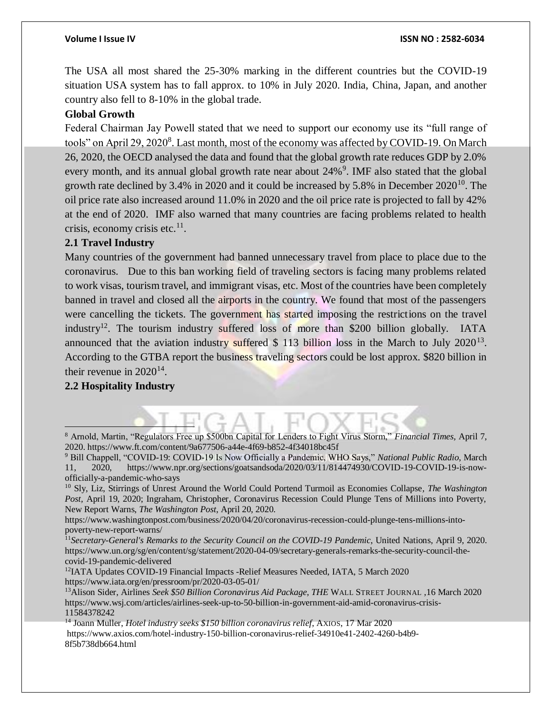The USA all most shared the 25-30% marking in the different countries but the COVID-19 situation USA system has to fall approx. to 10% in July 2020. India, China, Japan, and another country also fell to 8-10% in the global trade.

### **Global Growth**

Federal Chairman Jay Powell stated that we need to support our economy use its "full range of tools" on April 29, 2020<sup>8</sup>. Last month, most of the economy was affected by COVID-19. On March 26, 2020, the OECD analysed the data and found that the global growth rate reduces GDP by 2.0% every month, and its annual global growth rate near about 24%<sup>9</sup>. IMF also stated that the global growth rate declined by  $3.4\%$  in 2020 and it could be increased by 5.8% in December 2020<sup>10</sup>. The oil price rate also increased around 11.0% in 2020 and the oil price rate is projected to fall by 42% at the end of 2020. IMF also warned that many countries are facing problems related to health crisis, economy crisis etc. $11$ .

### **2.1 Travel Industry**

Many countries of the government had banned unnecessary travel from place to place due to the coronavirus. Due to this ban working field of traveling sectors is facing many problems related to work visas, tourism travel, and immigrant visas, etc. Most of the countries have been completely banned in travel and closed all the airports in the country. We found that most of the passengers were cancelling the tickets. The government has started imposing the restrictions on the travel industry<sup>12</sup>. The tourism industry suffered loss of more than \$200 billion globally. IATA announced that the aviation industry suffered  $$113$  billion loss in the March to July 2020<sup>13</sup>. According to the GTBA report the business traveling sectors could be lost approx. \$820 billion in their revenue in  $2020^{14}$ .

### **2.2 Hospitality Industry**

<sup>13</sup>Alison Sider, Airlines *Seek \$50 Billion Coronavirus Aid Package, THE* WALL STREET JOURNAL *,*16 March 2020 https://www.wsj.com/articles/airlines-seek-up-to-50-billion-in-government-aid-amid-coronavirus-crisis-11584378242

<sup>14</sup> Joann Muller, *Hotel industry seeks \$150 billion coronavirus relief*, AXIOS, 17 Mar 2020 https://www.axios.com/hotel-industry-150-billion-coronavirus-relief-34910e41-2402-4260-b4b9- 8f5b738db664.html

<sup>8</sup> Arnold, Martin, "Regulators Free up \$500bn Capital for Lenders to Fight Virus Storm," *Financial Times,* April 7, 2020. https://www.ft.com/content/9a677506-a44e-4f69-b852-4f34018bc45f

<sup>9</sup> Bill Chappell, "COVID-19: COVID-19 Is Now Officially a Pandemic, WHO Says," *National Public Radio*, March 11, 2020, https://www.npr.org/sections/goatsandsoda/2020/03/11/814474930/COVID-19-COVID-19-is-nowofficially-a-pandemic-who-says

<sup>10</sup> Sly, Liz, Stirrings of Unrest Around the World Could Portend Turmoil as Economies Collapse*, The Washington Post,* April 19, 2020; Ingraham, Christopher, Coronavirus Recession Could Plunge Tens of Millions into Poverty, New Report Warns, *The Washington Post*, April 20, 2020.

https://www.washingtonpost.com/business/2020/04/20/coronavirus-recession-could-plunge-tens-millions-intopoverty-new-report-warns/

<sup>11</sup>*Secretary-General's Remarks to the Security Council on the COVID-19 Pandemic*, United Nations, April 9, 2020. https://www.un.org/sg/en/content/sg/statement/2020-04-09/secretary-generals-remarks-the-security-council-thecovid-19-pandemic-delivered

<sup>12</sup>IATA Updates COVID-19 Financial Impacts -Relief Measures Needed, IATA, 5 March 2020 https://www.iata.org/en/pressroom/pr/2020-03-05-01/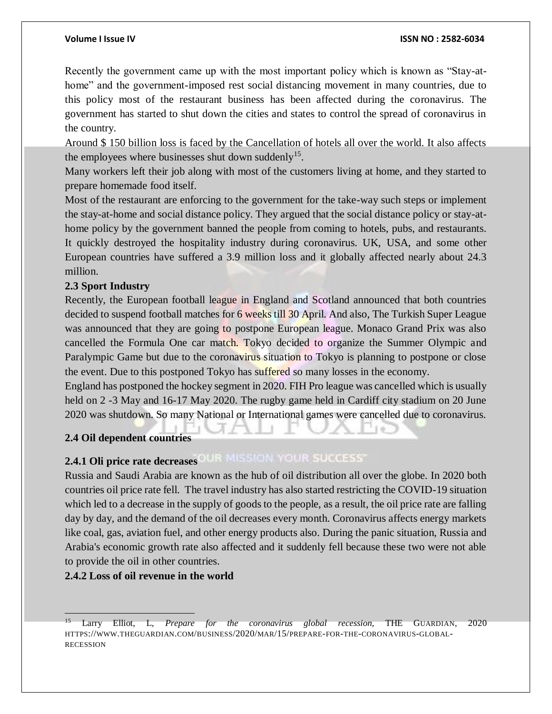Recently the government came up with the most important policy which is known as "Stay-athome" and the government-imposed rest social distancing movement in many countries, due to this policy most of the restaurant business has been affected during the coronavirus. The government has started to shut down the cities and states to control the spread of coronavirus in the country.

Around \$ 150 billion loss is faced by the Cancellation of hotels all over the world. It also affects the employees where businesses shut down suddenly<sup>15</sup>.

Many workers left their job along with most of the customers living at home, and they started to prepare homemade food itself.

Most of the restaurant are enforcing to the government for the take-way such steps or implement the stay-at-home and social distance policy. They argued that the social distance policy or stay-athome policy by the government banned the people from coming to hotels, pubs, and restaurants. It quickly destroyed the hospitality industry during coronavirus. UK, USA, and some other European countries have suffered a 3.9 million loss and it globally affected nearly about 24.3 million.

### **2.3 Sport Industry**

Recently, the European football league in England and Scotland announced that both countries decided to suspend football matches for 6 weeks till 30 April. And also, The Turkish Super League was announced that they are going to postpone European league. Monaco Grand Prix was also cancelled the Formula One car match. Tokyo decided to organize the Summer Olympic and Paralympic Game but due to the coronavirus situation to Tokyo is planning to postpone or close the event. Due to this postponed Tokyo has suffered so many losses in the economy.

England has postponed the hockey segment in 2020. FIH Pro league was cancelled which is usually held on 2 -3 May and 16-17 May 2020. The rugby game held in Cardiff city stadium on 20 June 2020 was shutdown. So many National or International games were cancelled due to coronavirus.

### **2.4 Oil dependent countries**

## **2.4.1 Oli price rate decreases OLIR MISSION YOUR SUCCESS**

Russia and Saudi Arabia are known as the hub of oil distribution all over the globe. In 2020 both countries oil price rate fell. The travel industry has also started restricting the COVID-19 situation which led to a decrease in the supply of goods to the people, as a result, the oil price rate are falling day by day, and the demand of the oil decreases every month. Coronavirus affects energy markets like coal, gas, aviation fuel, and other energy products also. During the panic situation, Russia and Arabia's economic growth rate also affected and it suddenly fell because these two were not able to provide the oil in other countries.

#### **2.4.2 Loss of oil revenue in the world**

<sup>15</sup> Larry Elliot, L, *Prepare for the coronavirus global recession*, THE GUARDIAN, 2020 HTTPS://WWW.THEGUARDIAN.COM/BUSINESS/2020/MAR/15/PREPARE-FOR-THE-CORONAVIRUS-GLOBAL-RECESSION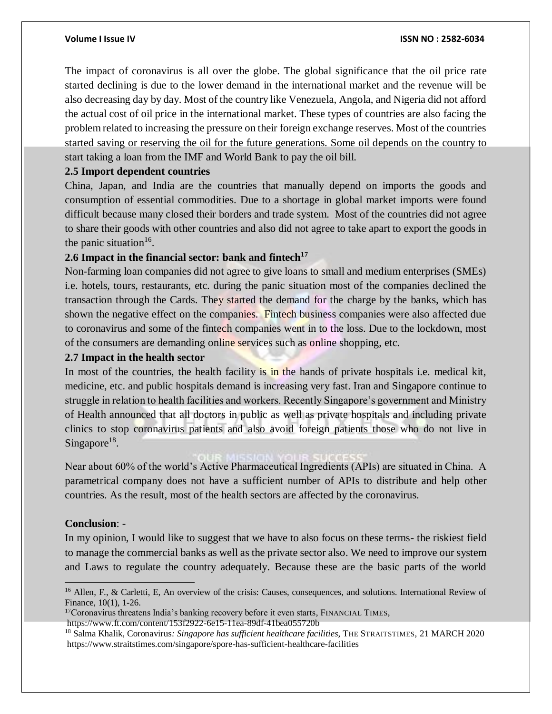The impact of coronavirus is all over the globe. The global significance that the oil price rate started declining is due to the lower demand in the international market and the revenue will be also decreasing day by day. Most of the country like Venezuela, Angola, and Nigeria did not afford the actual cost of oil price in the international market. These types of countries are also facing the problem related to increasing the pressure on their foreign exchange reserves. Most of the countries started saving or reserving the oil for the future generations. Some oil depends on the country to start taking a loan from the IMF and World Bank to pay the oil bill.

#### **2.5 Import dependent countries**

China, Japan, and India are the countries that manually depend on imports the goods and consumption of essential commodities. Due to a shortage in global market imports were found difficult because many closed their borders and trade system. Most of the countries did not agree to share their goods with other countries and also did not agree to take apart to export the goods in the panic situation<sup>16</sup>.

### **2.6 Impact in the financial sector: bank and fintech<sup>17</sup>**

Non-farming loan companies did not agree to give loans to small and medium enterprises (SMEs) i.e. hotels, tours, restaurants, etc. during the panic situation most of the companies declined the transaction through the Cards. They started the demand for the charge by the banks, which has shown the negative effect on the companies. Fintech business companies were also affected due to coronavirus and some of the fintech companies went in to the loss. Due to the lockdown, most of the consumers are demanding online services such as online shopping, etc.

#### **2.7 Impact in the health sector**

In most of the countries, the health facility is in the hands of private hospitals i.e. medical kit, medicine, etc. and public hospitals demand is increasing very fast. Iran and Singapore continue to struggle in relation to health facilities and workers. Recently Singapore's government and Ministry of Health announced that all doctors in public as well as private hospitals and including private clinics to stop coronavirus patients and also avoid foreign patients those who do not live in Singapore<sup>18</sup>.

Near about 60% of the world's Active Pharmaceutical Ingredients (APIs) are situated in China. A parametrical company does not have a sufficient number of APIs to distribute and help other countries. As the result, most of the health sectors are affected by the coronavirus.

#### **Conclusion**: -

 $\overline{a}$ 

In my opinion, I would like to suggest that we have to also focus on these terms- the riskiest field to manage the commercial banks as well as the private sector also. We need to improve our system and Laws to regulate the country adequately. Because these are the basic parts of the world

<sup>17</sup>Coronavirus threatens India's banking recovery before it even starts, FINANCIAL TIMES,

<sup>&</sup>lt;sup>16</sup> Allen, F., & Carletti, E. An overview of the crisis: Causes, consequences, and solutions. International Review of Finance, 10(1), 1-26.

https://www.ft.com/content/153f2922-6e15-11ea-89df-41bea055720b

<sup>18</sup> Salma Khalik, Coronavirus*: Singapore has sufficient healthcare facilities*, THE STRAITSTIMES, 21 MARCH 2020 https://www.straitstimes.com/singapore/spore-has-sufficient-healthcare-facilities